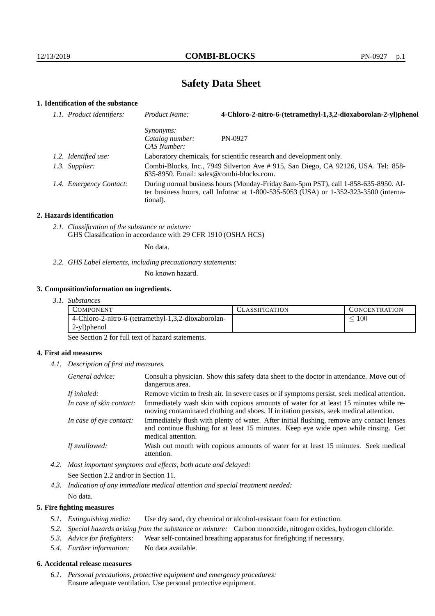# **Safety Data Sheet**

# **1. Identification of the substance**

| 1.1. Product identifiers: | Product Name:                                                                                                                                                                               | 4-Chloro-2-nitro-6-(tetramethyl-1,3,2-dioxaborolan-2-yl)phenol |
|---------------------------|---------------------------------------------------------------------------------------------------------------------------------------------------------------------------------------------|----------------------------------------------------------------|
|                           | <i>Synonyms:</i><br>Catalog number:<br>CAS Number:                                                                                                                                          | PN-0927                                                        |
| 1.2. Identified use:      | Laboratory chemicals, for scientific research and development only.                                                                                                                         |                                                                |
| 1.3. Supplier:            | Combi-Blocks, Inc., 7949 Silverton Ave # 915, San Diego, CA 92126, USA. Tel: 858-<br>$635-8950$ . Email: sales@combi-blocks.com.                                                            |                                                                |
| 1.4. Emergency Contact:   | During normal business hours (Monday-Friday 8am-5pm PST), call 1-858-635-8950. Af-<br>ter business hours, call Infotrac at $1-800-535-5053$ (USA) or $1-352-323-3500$ (interna-<br>tional). |                                                                |

#### **2. Hazards identification**

*2.1. Classification of the substance or mixture:* GHS Classification in accordance with 29 CFR 1910 (OSHA HCS)

No data.

*2.2. GHS Label elements, including precautionary statements:*

No known hazard.

#### **3. Composition/information on ingredients.**

*3.1. Substances*

| COMPONENT                                           | CLASSIFICATION | <b>CONCENTRATION</b> |
|-----------------------------------------------------|----------------|----------------------|
| 4-Chloro-2-nitro-6-(tetramethyl-1,3,2-dioxaborolan- |                | 100                  |
| 2-yl)phenol                                         |                |                      |

See Section 2 for full text of hazard statements.

### **4. First aid measures**

*4.1. Description of first aid measures.*

| General advice:          | Consult a physician. Show this safety data sheet to the doctor in attendance. Move out of<br>dangerous area.                                                                                            |
|--------------------------|---------------------------------------------------------------------------------------------------------------------------------------------------------------------------------------------------------|
| If inhaled:              | Remove victim to fresh air. In severe cases or if symptoms persist, seek medical attention.                                                                                                             |
| In case of skin contact: | Immediately wash skin with copious amounts of water for at least 15 minutes while re-<br>moving contaminated clothing and shoes. If irritation persists, seek medical attention.                        |
| In case of eye contact:  | Immediately flush with plenty of water. After initial flushing, remove any contact lenses<br>and continue flushing for at least 15 minutes. Keep eye wide open while rinsing. Get<br>medical attention. |
| If swallowed:            | Wash out mouth with copious amounts of water for at least 15 minutes. Seek medical<br>attention.                                                                                                        |

- *4.2. Most important symptoms and effects, both acute and delayed:* See Section 2.2 and/or in Section 11.
- *4.3. Indication of any immediate medical attention and special treatment needed:* No data.

### **5. Fire fighting measures**

- *5.1. Extinguishing media:* Use dry sand, dry chemical or alcohol-resistant foam for extinction.
- *5.2. Special hazards arising from the substance or mixture:* Carbon monoxide, nitrogen oxides, hydrogen chloride.
- *5.3. Advice for firefighters:* Wear self-contained breathing apparatus for firefighting if necessary.
- *5.4. Further information:* No data available.

### **6. Accidental release measures**

*6.1. Personal precautions, protective equipment and emergency procedures:* Ensure adequate ventilation. Use personal protective equipment.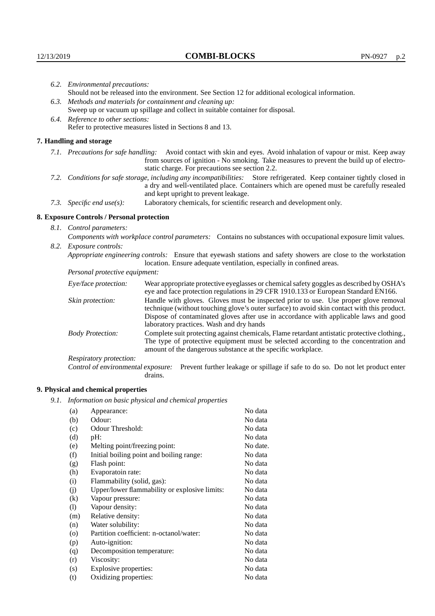|  | 6.2. Environmental precautions:<br>Should not be released into the environment. See Section 12 for additional ecological information.<br>6.3. Methods and materials for containment and cleaning up:                                                       |                                                                                                                                                                                                                                                                    |  |  |
|--|------------------------------------------------------------------------------------------------------------------------------------------------------------------------------------------------------------------------------------------------------------|--------------------------------------------------------------------------------------------------------------------------------------------------------------------------------------------------------------------------------------------------------------------|--|--|
|  |                                                                                                                                                                                                                                                            |                                                                                                                                                                                                                                                                    |  |  |
|  |                                                                                                                                                                                                                                                            |                                                                                                                                                                                                                                                                    |  |  |
|  | Sweep up or vacuum up spillage and collect in suitable container for disposal.                                                                                                                                                                             |                                                                                                                                                                                                                                                                    |  |  |
|  | 6.4. Reference to other sections:                                                                                                                                                                                                                          |                                                                                                                                                                                                                                                                    |  |  |
|  | Refer to protective measures listed in Sections 8 and 13.                                                                                                                                                                                                  |                                                                                                                                                                                                                                                                    |  |  |
|  | 7. Handling and storage                                                                                                                                                                                                                                    |                                                                                                                                                                                                                                                                    |  |  |
|  |                                                                                                                                                                                                                                                            | 7.1. Precautions for safe handling: Avoid contact with skin and eyes. Avoid inhalation of vapour or mist. Keep away<br>from sources of ignition - No smoking. Take measures to prevent the build up of electro-<br>static charge. For precautions see section 2.2. |  |  |
|  | 7.2. Conditions for safe storage, including any incompatibilities: Store refrigerated. Keep container tightly closed in<br>a dry and well-ventilated place. Containers which are opened must be carefully resealed<br>and kept upright to prevent leakage. |                                                                                                                                                                                                                                                                    |  |  |
|  | 7.3. Specific end use(s):                                                                                                                                                                                                                                  | Laboratory chemicals, for scientific research and development only.                                                                                                                                                                                                |  |  |
|  | 8. Exposure Controls / Personal protection                                                                                                                                                                                                                 |                                                                                                                                                                                                                                                                    |  |  |
|  | 8.1. Control parameters:                                                                                                                                                                                                                                   |                                                                                                                                                                                                                                                                    |  |  |
|  | Components with workplace control parameters: Contains no substances with occupational exposure limit values.                                                                                                                                              |                                                                                                                                                                                                                                                                    |  |  |
|  | 8.2. Exposure controls:                                                                                                                                                                                                                                    |                                                                                                                                                                                                                                                                    |  |  |
|  | Appropriate engineering controls: Ensure that eyewash stations and safety showers are close to the workstation<br>location. Ensure adequate ventilation, especially in confined areas.                                                                     |                                                                                                                                                                                                                                                                    |  |  |
|  | Personal protective equipment:                                                                                                                                                                                                                             |                                                                                                                                                                                                                                                                    |  |  |
|  | Eye/face protection:                                                                                                                                                                                                                                       | Wear appropriate protective eyeglasses or chemical safety goggles as described by OSHA's<br>eye and face protection regulations in 29 CFR 1910.133 or European Standard EN166.                                                                                     |  |  |
|  | Skin protection:                                                                                                                                                                                                                                           | Handle with gloves. Gloves must be inspected prior to use. Use proper glove removal<br>technique (without touching glove's outer surface) to avoid skin contact with this product                                                                                  |  |  |

# **8. Exposure Controls / Personal protection**

| Eye/face protection:               | Wear appropriate protective eyeglasses or chemical safety goggles as described by OSHA's<br>eye and face protection regulations in 29 CFR 1910.133 or European Standard EN166.                                                                                                                                         |  |  |
|------------------------------------|------------------------------------------------------------------------------------------------------------------------------------------------------------------------------------------------------------------------------------------------------------------------------------------------------------------------|--|--|
| Skin protection:                   | Handle with gloves. Gloves must be inspected prior to use. Use proper glove removal<br>technique (without touching glove's outer surface) to avoid skin contact with this product.<br>Dispose of contaminated gloves after use in accordance with applicable laws and good<br>laboratory practices. Wash and dry hands |  |  |
| <b>Body Protection:</b>            | Complete suit protecting against chemicals, Flame retardant antistatic protective clothing.,<br>The type of protective equipment must be selected according to the concentration and<br>amount of the dangerous substance at the specific workplace.                                                                   |  |  |
| Respiratory protection:            |                                                                                                                                                                                                                                                                                                                        |  |  |
| Control of environmental exposure: | Prevent further leakage or spillage if safe to do so. Do not let product enter<br>drains.                                                                                                                                                                                                                              |  |  |

# **9. Physical and chemical properties**

*9.1. Information on basic physical and chemical properties*

| (a)      | Appearance:                                   | No data  |
|----------|-----------------------------------------------|----------|
| (b)      | Odour:                                        | No data  |
| (c)      | Odour Threshold:                              | No data  |
| (d)      | pH:                                           | No data  |
| (e)      | Melting point/freezing point:                 | No date. |
| (f)      | Initial boiling point and boiling range:      | No data  |
| (g)      | Flash point:                                  | No data  |
| (h)      | Evaporatoin rate:                             | No data  |
| (i)      | Flammability (solid, gas):                    | No data  |
| (j)      | Upper/lower flammability or explosive limits: | No data  |
| $\rm(k)$ | Vapour pressure:                              | No data  |
| (1)      | Vapour density:                               | No data  |
| (m)      | Relative density:                             | No data  |
| (n)      | Water solubility:                             | No data  |
| $\circ$  | Partition coefficient: n-octanol/water:       | No data  |
| (p)      | Auto-ignition:                                | No data  |
| (q)      | Decomposition temperature:                    | No data  |
| (r)      | Viscosity:                                    | No data  |
| (s)      | Explosive properties:                         | No data  |
| (t)      | Oxidizing properties:                         | No data  |